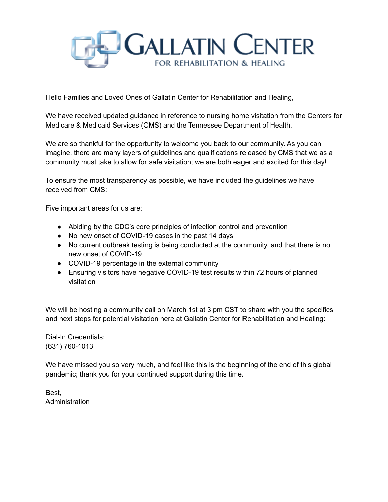

Hello Families and Loved Ones of Gallatin Center for Rehabilitation and Healing,

We have received updated guidance in reference to nursing home visitation from the Centers for Medicare & Medicaid Services (CMS) and the Tennessee Department of Health.

We are so thankful for the opportunity to welcome you back to our community. As you can imagine, there are many layers of guidelines and qualifications released by CMS that we as a community must take to allow for safe visitation; we are both eager and excited for this day!

To ensure the most transparency as possible, we have included the guidelines we have received from CMS:

Five important areas for us are:

- Abiding by the CDC's core principles of infection control and prevention
- No new onset of COVID-19 cases in the past 14 days
- No current outbreak testing is being conducted at the community, and that there is no new onset of COVID-19
- COVID-19 percentage in the external community
- Ensuring visitors have negative COVID-19 test results within 72 hours of planned visitation

We will be hosting a community call on March 1st at 3 pm CST to share with you the specifics and next steps for potential visitation here at Gallatin Center for Rehabilitation and Healing:

Dial-In Credentials: (631) 760-1013

We have missed you so very much, and feel like this is the beginning of the end of this global pandemic; thank you for your continued support during this time.

Best, Administration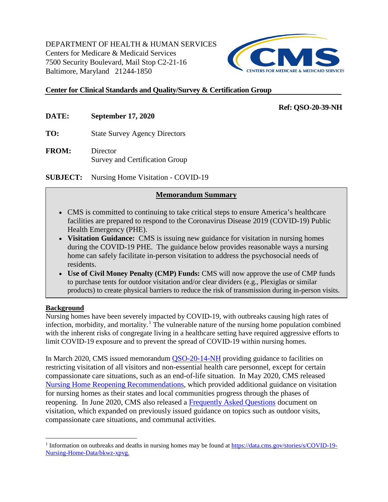DEPARTMENT OF HEALTH & HUMAN SERVICES Centers for Medicare & Medicaid Services 7500 Security Boulevard, Mail Stop C2-21-16 Baltimore, Maryland 21244-1850



## **Center for Clinical Standards and Quality/Survey & Certification Group**

### **Ref: QSO-20-39-NH**

**DATE: September 17, 2020**

**TO:** State Survey Agency Directors

**FROM:** Director Survey and Certification Group

**SUBJECT:** Nursing Home Visitation - COVID-19

## **Memorandum Summary**

- CMS is committed to continuing to take critical steps to ensure America's healthcare facilities are prepared to respond to the Coronavirus Disease 2019 (COVID-19) Public Health Emergency (PHE).
- **Visitation Guidance:** CMS is issuing new guidance for visitation in nursing homes during the COVID-19 PHE. The guidance below provides reasonable ways a nursing home can safely facilitate in-person visitation to address the psychosocial needs of residents.
- **Use of Civil Money Penalty (CMP) Funds:** CMS will now approve the use of CMP funds to purchase tents for outdoor visitation and/or clear dividers (e.g., Plexiglas or similar products) to create physical barriers to reduce the risk of transmission during in-person visits.

#### **Background**

Nursing homes have been severely impacted by COVID-19, with outbreaks causing high rates of infection, morbidity, and mortality.<sup>[1](#page-1-0)</sup> The vulnerable nature of the nursing home population combined with the inherent risks of congregate living in a healthcare setting have required aggressive efforts to limit COVID-19 exposure and to prevent the spread of COVID-19 within nursing homes.

In March 2020, CMS issued memorandum [QSO-20-14-NH](https://www.cms.gov/files/document/qso-20-14-nh-revised.pdf) providing guidance to facilities on restricting visitation of all visitors and non-essential health care personnel, except for certain compassionate care situations, such as an end-of-life situation. In May 2020, CMS released [Nursing Home Reopening Recommendations,](https://www.cms.gov/files/document/qso-20-30-nh.pdf-0) which provided additional guidance on visitation for nursing homes as their states and local communities progress through the phases of reopening. In June 2020, CMS also released a [Frequently Asked Questions](https://www.cms.gov/files/document/covid-visitation-nursing-home-residents.pdf) document on visitation, which expanded on previously issued guidance on topics such as outdoor visits, compassionate care situations, and communal activities.

<span id="page-1-0"></span> <sup>1</sup> Information on outbreaks and deaths in nursing homes may be found at [https://data.cms.gov/stories/s/COVID-19-](https://data.cms.gov/stories/s/COVID-19-Nursing-Home-Data/bkwz-xpvg) [Nursing-Home-Data/bkwz-xpvg.](https://data.cms.gov/stories/s/COVID-19-Nursing-Home-Data/bkwz-xpvg)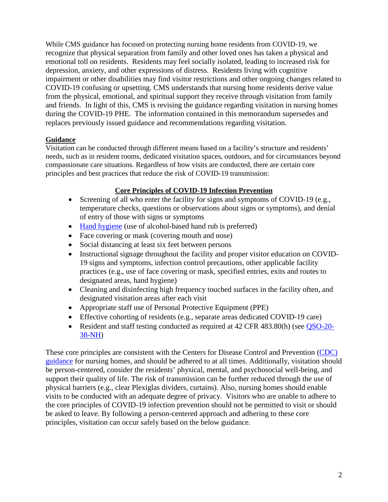While CMS guidance has focused on protecting nursing home residents from COVID-19, we recognize that physical separation from family and other loved ones has taken a physical and emotional toll on residents. Residents may feel socially isolated, leading to increased risk for depression, anxiety, and other expressions of distress. Residents living with cognitive impairment or other disabilities may find visitor restrictions and other ongoing changes related to COVID-19 confusing or upsetting. CMS understands that nursing home residents derive value from the physical, emotional, and spiritual support they receive through visitation from family and friends. In light of this, CMS is revising the guidance regarding visitation in nursing homes during the COVID-19 PHE. The information contained in this memorandum supersedes and replaces previously issued guidance and recommendations regarding visitation.

## **Guidance**

Visitation can be conducted through different means based on a facility's structure and residents' needs, such as in resident rooms, dedicated visitation spaces, outdoors, and for circumstances beyond compassionate care situations. Regardless of how visits are conducted, there are certain core principles and best practices that reduce the risk of COVID-19 transmission:

## **Core Principles of COVID-19 Infection Prevention**

- Screening of all who enter the facility for signs and symptoms of COVID-19 (e.g., temperature checks, questions or observations about signs or symptoms), and denial of entry of those with signs or symptoms
- [Hand hygiene](https://www.cdc.gov/handhygiene/pdfs/Provider-Factsheet-508.pdf) (use of alcohol-based hand rub is preferred)
- Face covering or mask (covering mouth and nose)
- Social distancing at least six feet between persons
- Instructional signage throughout the facility and proper visitor education on COVID-19 signs and symptoms, infection control precautions, other applicable facility practices (e.g., use of face covering or mask, specified entries, exits and routes to designated areas, hand hygiene)
- Cleaning and disinfecting high frequency touched surfaces in the facility often, and designated visitation areas after each visit
- Appropriate staff use of Personal Protective Equipment (PPE)
- Effective cohorting of residents (e.g., separate areas dedicated COVID-19 care)
- Resident and staff testing conducted as required at 42 CFR 483.80(h) (see [QSO-20-](https://www.cms.gov/files/document/qso-20-38-nh.pdf) [38-NH\)](https://www.cms.gov/files/document/qso-20-38-nh.pdf)

These core principles are consistent with the Centers for Disease Control and Prevention [\(CDC\)](https://www.cdc.gov/coronavirus/2019-ncov/hcp/long-term-care.html?CDC_AA_refVal=https%3A%2F%2Fwww.cdc.gov%2Fcoronavirus%2F2019-ncov%2Fhealthcare-facilities%2Fprevent-spread-in-long-term-care-facilities.html)  [guidance](https://www.cdc.gov/coronavirus/2019-ncov/hcp/long-term-care.html?CDC_AA_refVal=https%3A%2F%2Fwww.cdc.gov%2Fcoronavirus%2F2019-ncov%2Fhealthcare-facilities%2Fprevent-spread-in-long-term-care-facilities.html) for nursing homes, and should be adhered to at all times. Additionally, visitation should be person-centered, consider the residents' physical, mental, and psychosocial well-being, and support their quality of life. The risk of transmission can be further reduced through the use of physical barriers (e.g., clear Plexiglas dividers, curtains). Also, nursing homes should enable visits to be conducted with an adequate degree of privacy. Visitors who are unable to adhere to the core principles of COVID-19 infection prevention should not be permitted to visit or should be asked to leave. By following a person-centered approach and adhering to these core principles, visitation can occur safely based on the below guidance.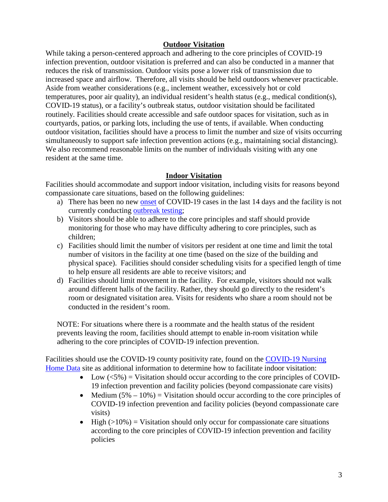## **Outdoor Visitation**

While taking a person-centered approach and adhering to the core principles of COVID-19 infection prevention, outdoor visitation is preferred and can also be conducted in a manner that reduces the risk of transmission. Outdoor visits pose a lower risk of transmission due to increased space and airflow. Therefore, all visits should be held outdoors whenever practicable. Aside from weather considerations (e.g., inclement weather, excessively hot or cold temperatures, poor air quality), an individual resident's health status (e.g., medical condition(s), COVID-19 status), or a facility's outbreak status, outdoor visitation should be facilitated routinely. Facilities should create accessible and safe outdoor spaces for visitation, such as in courtyards, patios, or parking lots, including the use of tents, if available. When conducting outdoor visitation, facilities should have a process to limit the number and size of visits occurring simultaneously to support safe infection prevention actions (e.g., maintaining social distancing). We also recommend reasonable limits on the number of individuals visiting with any one resident at the same time.

#### **Indoor Visitation**

Facilities should accommodate and support indoor visitation, including visits for reasons beyond compassionate care situations, based on the following guidelines:

- a) There has been no new [onset](https://www.cdc.gov/coronavirus/2019-ncov/hcp/duration-isolation.html) of COVID-19 cases in the last 14 days and the facility is not currently conducting [outbreak testing;](https://www.cms.gov/files/document/qso-20-38-nh.pdf)
- b) Visitors should be able to adhere to the core principles and staff should provide monitoring for those who may have difficulty adhering to core principles, such as children;
- c) Facilities should limit the number of visitors per resident at one time and limit the total number of visitors in the facility at one time (based on the size of the building and physical space). Facilities should consider scheduling visits for a specified length of time to help ensure all residents are able to receive visitors; and
- d) Facilities should limit movement in the facility. For example, visitors should not walk around different halls of the facility. Rather, they should go directly to the resident's room or designated visitation area. Visits for residents who share a room should not be conducted in the resident's room.

NOTE: For situations where there is a roommate and the health status of the resident prevents leaving the room, facilities should attempt to enable in-room visitation while adhering to the core principles of COVID-19 infection prevention.

Facilities should use the COVID-19 county positivity rate, found on the [COVID-19 Nursing](https://data.cms.gov/stories/s/COVID-19-Nursing-Home-Data/bkwz-xpvg)  [Home Data](https://data.cms.gov/stories/s/COVID-19-Nursing-Home-Data/bkwz-xpvg) site as additional information to determine how to facilitate indoor visitation:

- Low  $(<5\%)$  = Visitation should occur according to the core principles of COVID-19 infection prevention and facility policies (beyond compassionate care visits)
- Medium  $(5\% 10\%)$  = Visitation should occur according to the core principles of COVID-19 infection prevention and facility policies (beyond compassionate care visits)
- High  $(>10\%)$  = Visitation should only occur for compassionate care situations according to the core principles of COVID-19 infection prevention and facility policies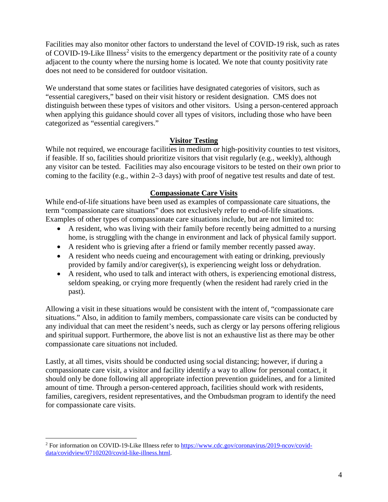Facilities may also monitor other factors to understand the level of COVID-19 risk, such as rates of COVID-19-Like Illness<sup>[2](#page-4-0)</sup> visits to the emergency department or the positivity rate of a county adjacent to the county where the nursing home is located. We note that county positivity rate does not need to be considered for outdoor visitation.

We understand that some states or facilities have designated categories of visitors, such as "essential caregivers," based on their visit history or resident designation. CMS does not distinguish between these types of visitors and other visitors. Using a person-centered approach when applying this guidance should cover all types of visitors, including those who have been categorized as "essential caregivers."

## **Visitor Testing**

While not required, we encourage facilities in medium or high-positivity counties to test visitors, if feasible. If so, facilities should prioritize visitors that visit regularly (e.g., weekly), although any visitor can be tested. Facilities may also encourage visitors to be tested on their own prior to coming to the facility (e.g., within 2–3 days) with proof of negative test results and date of test.

## **Compassionate Care Visits**

While end-of-life situations have been used as examples of compassionate care situations, the term "compassionate care situations" does not exclusively refer to end-of-life situations. Examples of other types of compassionate care situations include, but are not limited to:

- A resident, who was living with their family before recently being admitted to a nursing home, is struggling with the change in environment and lack of physical family support.
- A resident who is grieving after a friend or family member recently passed away.
- A resident who needs cueing and encouragement with eating or drinking, previously provided by family and/or caregiver(s), is experiencing weight loss or dehydration.
- A resident, who used to talk and interact with others, is experiencing emotional distress, seldom speaking, or crying more frequently (when the resident had rarely cried in the past).

Allowing a visit in these situations would be consistent with the intent of, "compassionate care situations." Also, in addition to family members, compassionate care visits can be conducted by any individual that can meet the resident's needs, such as clergy or lay persons offering religious and spiritual support. Furthermore, the above list is not an exhaustive list as there may be other compassionate care situations not included.

Lastly, at all times, visits should be conducted using social distancing; however, if during a compassionate care visit, a visitor and facility identify a way to allow for personal contact, it should only be done following all appropriate infection prevention guidelines, and for a limited amount of time. Through a person-centered approach, facilities should work with residents, families, caregivers, resident representatives, and the Ombudsman program to identify the need for compassionate care visits.

<span id="page-4-0"></span> <sup>2</sup> For information on COVID-19-Like Illness refer to [https://www.cdc.gov/coronavirus/2019-ncov/covid](https://www.cdc.gov/coronavirus/2019-ncov/covid-data/covidview/07102020/covid-like-illness.html)[data/covidview/07102020/covid-like-illness.html.](https://www.cdc.gov/coronavirus/2019-ncov/covid-data/covidview/07102020/covid-like-illness.html)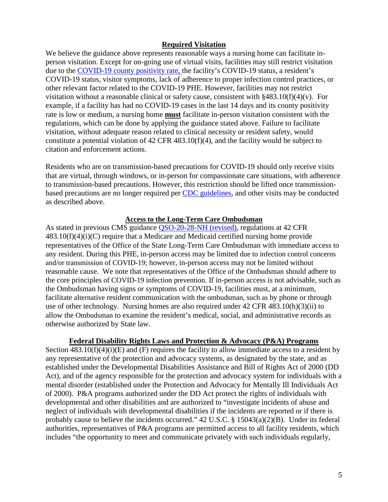#### **Required Visitation**

We believe the guidance above represents reasonable ways a nursing home can facilitate inperson visitation. Except for on-going use of virtual visits, facilities may still restrict visitation due to the [COVID-19 county positivity rate,](https://data.cms.gov/stories/s/COVID-19-Nursing-Home-Data/bkwz-xpvg) the facility's COVID-19 status, a resident's COVID-19 status, visitor symptoms, lack of adherence to proper infection control practices, or other relevant factor related to the COVID-19 PHE. However, facilities may not restrict visitation without a reasonable clinical or safety cause, consistent with  $§483.10(f)(4)(v)$ . For example, if a facility has had no COVID-19 cases in the last 14 days and its county positivity rate is low or medium, a nursing home **must** facilitate in-person visitation consistent with the regulations, which can be done by applying the guidance stated above. Failure to facilitate visitation, without adequate reason related to clinical necessity or resident safety, would constitute a potential violation of 42 CFR 483.10(f)(4), and the facility would be subject to citation and enforcement actions.

Residents who are on transmission-based precautions for COVID-19 should only receive visits that are virtual, through windows, or in-person for compassionate care situations, with adherence to transmission-based precautions. However, this restriction should be lifted once transmissionbased precautions are no longer required per [CDC guidelines,](https://www.cdc.gov/coronavirus/2019-ncov/hcp/disposition-hospitalized-patients.html) and other visits may be conducted as described above.

#### **Access to the Long-Term Care Ombudsman**

As stated in previous CMS guidance [QSO-20-28-NH \(revised\),](https://www.cms.gov/files/document/qso-20-28-nh-revised.pdf) regulations at 42 CFR  $483.10(f)(4)(i)(C)$  require that a Medicare and Medicaid certified nursing home provide representatives of the Office of the State Long-Term Care Ombudsman with immediate access to any resident. During this PHE, in-person access may be limited due to infection control concerns and/or transmission of COVID-19; however, in-person access may not be limited without reasonable cause. We note that representatives of the Office of the Ombudsman should adhere to the core principles of COVID-19 infection prevention. If in-person access is not advisable, such as the Ombudsman having signs or symptoms of COVID-19, facilities must, at a minimum, facilitate alternative resident communication with the ombudsman, such as by phone or through use of other technology. Nursing homes are also required under 42 CFR 483.10(h)(3)(ii) to allow the Ombudsman to examine the resident's medical, social, and administrative records as otherwise authorized by State law.

#### **Federal Disability Rights Laws and Protection & Advocacy (P&A) Programs**

Section  $\overline{483.10(f)(4)(i)}$  and (F) requires the facility to allow immediate access to a resident by any representative of the protection and advocacy systems, as designated by the state, and as established under the Developmental Disabilities Assistance and Bill of Rights Act of 2000 (DD Act), and of the agency responsible for the protection and advocacy system for individuals with a mental disorder (established under the Protection and Advocacy for Mentally Ill Individuals Act of 2000). P&A programs authorized under the DD Act protect the rights of individuals with developmental and other disabilities and are authorized to "investigate incidents of abuse and neglect of individuals with developmental disabilities if the incidents are reported or if there is probably cause to believe the incidents occurred." 42 U.S.C. § 15043(a)(2)(B). Under its federal authorities, representatives of P&A programs are permitted access to all facility residents, which includes "the opportunity to meet and communicate privately with such individuals regularly,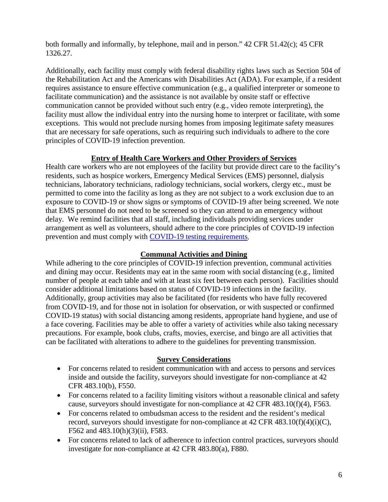both formally and informally, by telephone, mail and in person." 42 CFR 51.42(c); 45 CFR 1326.27.

Additionally, each facility must comply with federal disability rights laws such as Section 504 of the Rehabilitation Act and the Americans with Disabilities Act (ADA). For example, if a resident requires assistance to ensure effective communication (e.g., a qualified interpreter or someone to facilitate communication) and the assistance is not available by onsite staff or effective communication cannot be provided without such entry (e.g., video remote interpreting), the facility must allow the individual entry into the nursing home to interpret or facilitate, with some exceptions. This would not preclude nursing homes from imposing legitimate safety measures that are necessary for safe operations, such as requiring such individuals to adhere to the core principles of COVID-19 infection prevention.

## **Entry of Health Care Workers and Other Providers of Services**

Health care workers who are not employees of the facility but provide direct care to the facility's residents, such as hospice workers, Emergency Medical Services (EMS) personnel, dialysis technicians, laboratory technicians, radiology technicians, social workers, clergy etc., must be permitted to come into the facility as long as they are not subject to a work exclusion due to an exposure to COVID-19 or show signs or symptoms of COVID-19 after being screened. We note that EMS personnel do not need to be screened so they can attend to an emergency without delay. We remind facilities that all staff, including individuals providing services under arrangement as well as volunteers, should adhere to the core principles of COVID-19 infection prevention and must comply with [COVID-19 testing requirements.](https://www.cms.gov/files/document/qso-20-38-nh.pdf)

# **Communal Activities and Dining**

While adhering to the core principles of COVID-19 infection prevention, communal activities and dining may occur. Residents may eat in the same room with social distancing (e.g., limited number of people at each table and with at least six feet between each person). Facilities should consider additional limitations based on status of COVID-19 infections in the facility. Additionally, group activities may also be facilitated (for residents who have fully recovered from COVID-19, and for those not in isolation for observation, or with suspected or confirmed COVID-19 status) with social distancing among residents, appropriate hand hygiene, and use of a face covering. Facilities may be able to offer a variety of activities while also taking necessary precautions. For example, book clubs, crafts, movies, exercise, and bingo are all activities that can be facilitated with alterations to adhere to the guidelines for preventing transmission.

## **Survey Considerations**

- For concerns related to resident communication with and access to persons and services inside and outside the facility, surveyors should investigate for non-compliance at 42 CFR 483.10(b), F550.
- For concerns related to a facility limiting visitors without a reasonable clinical and safety cause, surveyors should investigate for non-compliance at 42 CFR 483.10(f)(4), F563.
- For concerns related to ombudsman access to the resident and the resident's medical record, surveyors should investigate for non-compliance at  $42$  CFR  $483.10(f)(4)(i)(C)$ , F562 and 483.10(h)(3)(ii), F583.
- For concerns related to lack of adherence to infection control practices, surveyors should investigate for non-compliance at 42 CFR 483.80(a), F880.